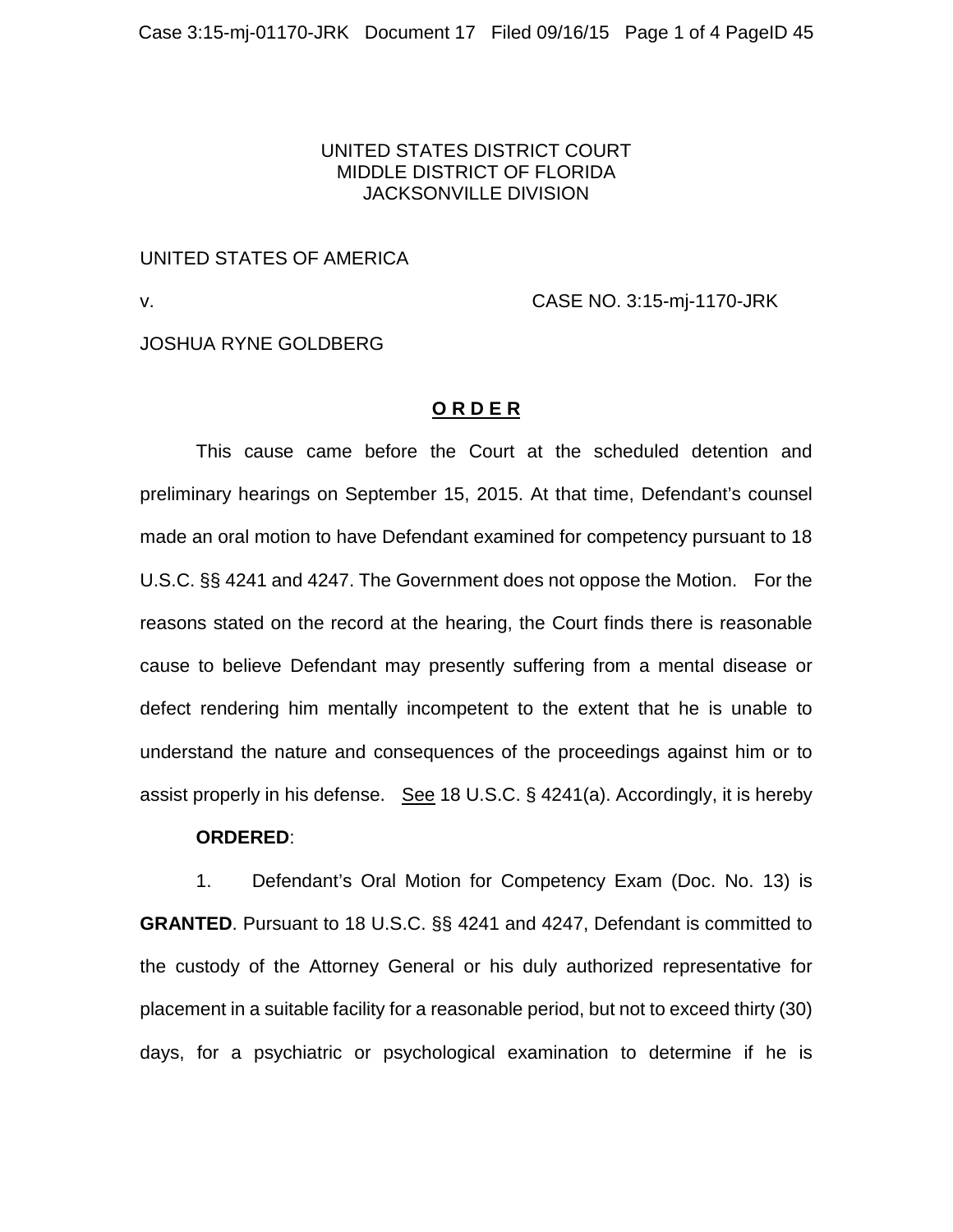## UNITED STATES DISTRICT COURT MIDDLE DISTRICT OF FLORIDA JACKSONVILLE DIVISION

## UNITED STATES OF AMERICA

v. CASE NO. 3:15-mj-1170-JRK

JOSHUA RYNE GOLDBERG

## **O R D E R**

This cause came before the Court at the scheduled detention and preliminary hearings on September 15, 2015. At that time, Defendant's counsel made an oral motion to have Defendant examined for competency pursuant to 18 U.S.C. §§ 4241 and 4247. The Government does not oppose the Motion. For the reasons stated on the record at the hearing, the Court finds there is reasonable cause to believe Defendant may presently suffering from a mental disease or defect rendering him mentally incompetent to the extent that he is unable to understand the nature and consequences of the proceedings against him or to assist properly in his defense. See 18 U.S.C. § 4241(a). Accordingly, it is hereby

## **ORDERED**:

1. Defendant's Oral Motion for Competency Exam (Doc. No. 13) is **GRANTED**. Pursuant to 18 U.S.C. §§ 4241 and 4247, Defendant is committed to the custody of the Attorney General or his duly authorized representative for placement in a suitable facility for a reasonable period, but not to exceed thirty (30) days, for a psychiatric or psychological examination to determine if he is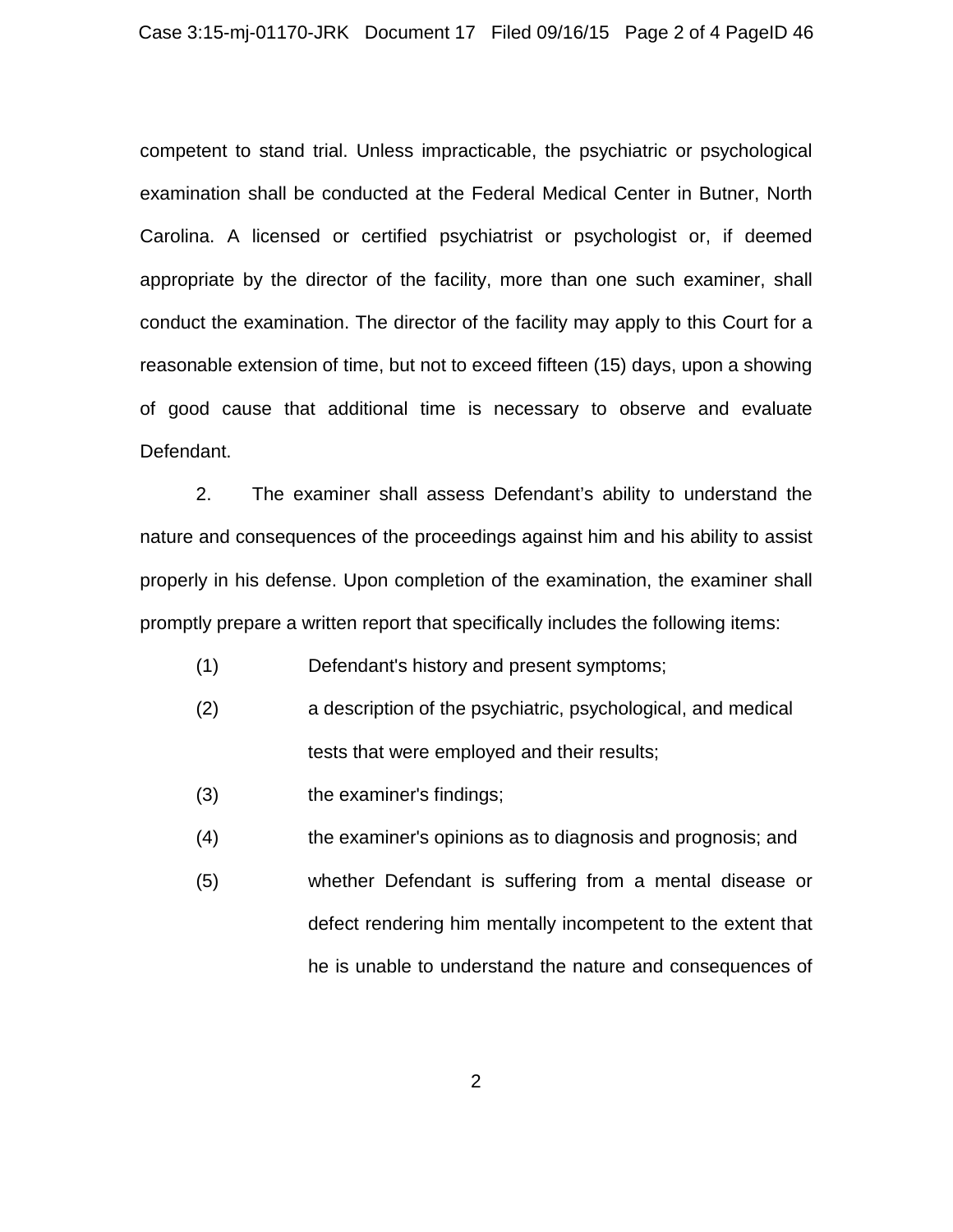competent to stand trial. Unless impracticable, the psychiatric or psychological examination shall be conducted at the Federal Medical Center in Butner, North Carolina. A licensed or certified psychiatrist or psychologist or, if deemed appropriate by the director of the facility, more than one such examiner, shall conduct the examination. The director of the facility may apply to this Court for a reasonable extension of time, but not to exceed fifteen (15) days, upon a showing of good cause that additional time is necessary to observe and evaluate Defendant.

2. The examiner shall assess Defendant's ability to understand the nature and consequences of the proceedings against him and his ability to assist properly in his defense. Upon completion of the examination, the examiner shall promptly prepare a written report that specifically includes the following items:

- (1) Defendant's history and present symptoms;
- (2) a description of the psychiatric, psychological, and medical tests that were employed and their results;
- (3) the examiner's findings;
- (4) the examiner's opinions as to diagnosis and prognosis; and
- (5) whether Defendant is suffering from a mental disease or defect rendering him mentally incompetent to the extent that he is unable to understand the nature and consequences of

2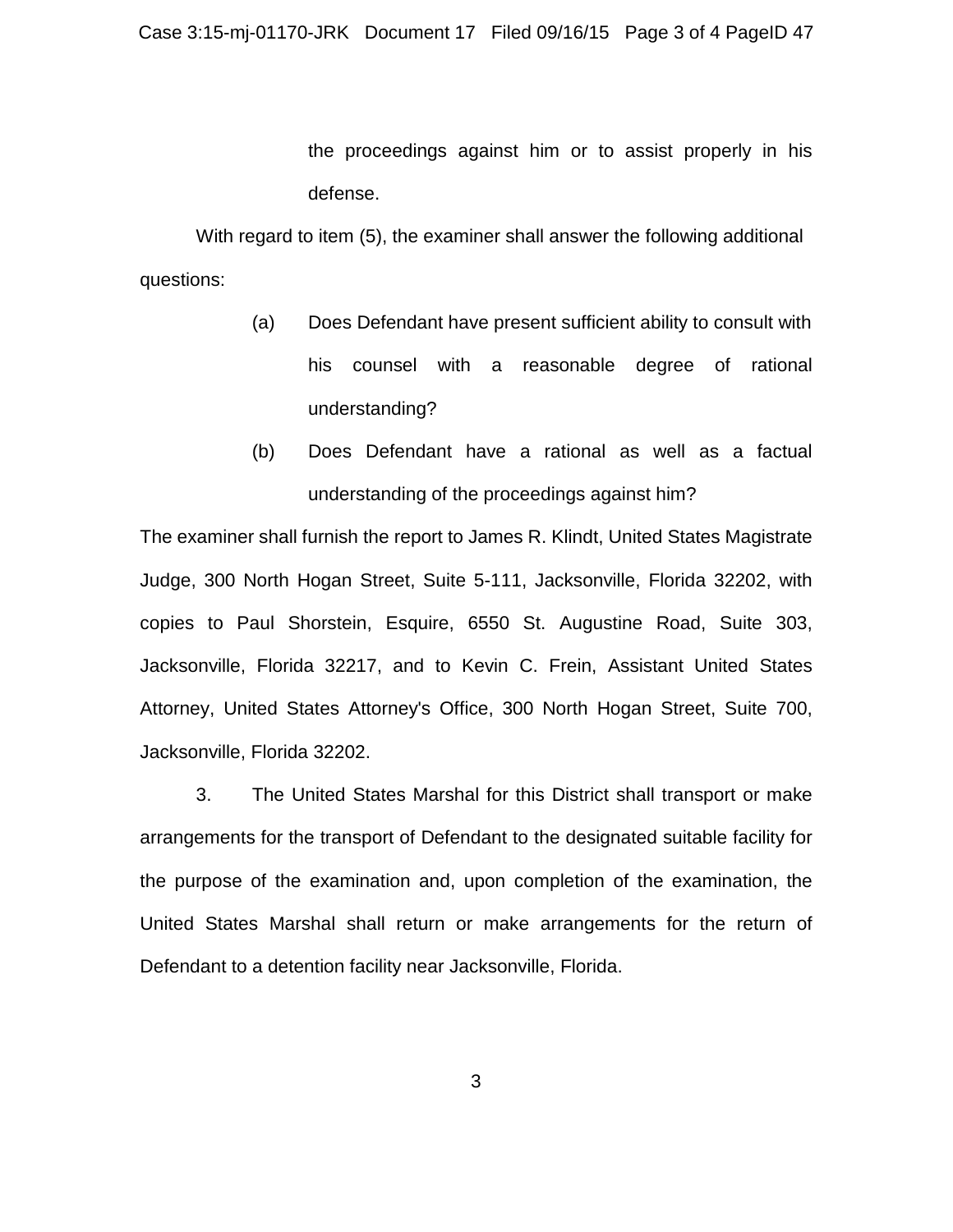the proceedings against him or to assist properly in his defense.

With regard to item (5), the examiner shall answer the following additional questions:

- (a) Does Defendant have present sufficient ability to consult with his counsel with a reasonable degree of rational understanding?
- (b) Does Defendant have a rational as well as a factual understanding of the proceedings against him?

The examiner shall furnish the report to James R. Klindt, United States Magistrate Judge, 300 North Hogan Street, Suite 5-111, Jacksonville, Florida 32202, with copies to Paul Shorstein, Esquire, 6550 St. Augustine Road, Suite 303, Jacksonville, Florida 32217, and to Kevin C. Frein, Assistant United States Attorney, United States Attorney's Office, 300 North Hogan Street, Suite 700, Jacksonville, Florida 32202.

3. The United States Marshal for this District shall transport or make arrangements for the transport of Defendant to the designated suitable facility for the purpose of the examination and, upon completion of the examination, the United States Marshal shall return or make arrangements for the return of Defendant to a detention facility near Jacksonville, Florida.

3